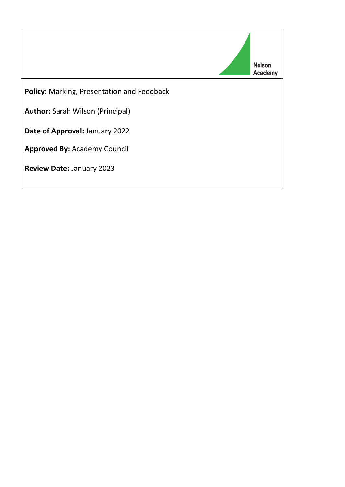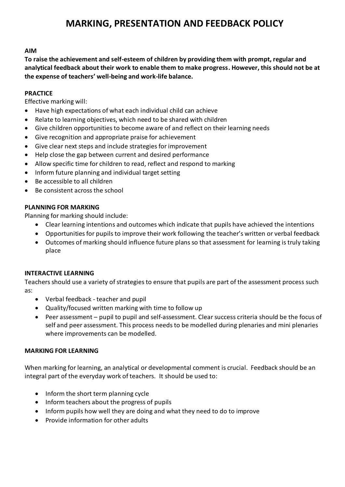# **MARKING, PRESENTATION AND FEEDBACK POLICY**

# **AIM**

**To raise the achievement and self-esteem of children by providing them with prompt, regular and analytical feedback about their work to enable them to make progress. However, this should not be at the expense of teachers' well-being and work-life balance.**

# **PRACTICE**

Effective marking will:

- Have high expectations of what each individual child can achieve
- Relate to learning objectives, which need to be shared with children
- Give children opportunities to become aware of and reflect on their learning needs
- Give recognition and appropriate praise for achievement
- Give clear next steps and include strategies for improvement
- Help close the gap between current and desired performance
- Allow specific time for children to read, reflect and respond to marking
- Inform future planning and individual target setting
- Be accessible to all children
- Be consistent across the school

# **PLANNING FOR MARKING**

Planning for marking should include:

- Clear learning intentions and outcomes which indicate that pupils have achieved the intentions
- Opportunities for pupils to improve their work following the teacher's written or verbal feedback
- Outcomes of marking should influence future plans so that assessment for learning is truly taking place

# **INTERACTIVE LEARNING**

Teachers should use a variety of strategies to ensure that pupils are part of the assessment process such as:

- Verbal feedback teacher and pupil
- Quality/focused written marking with time to follow up
- Peer assessment pupil to pupil and self-assessment. Clear success criteria should be the focus of self and peer assessment. This process needs to be modelled during plenaries and mini plenaries where improvements can be modelled.

# **MARKING FOR LEARNING**

When marking for learning, an analytical or developmental comment is crucial. Feedback should be an integral part of the everyday work of teachers. It should be used to:

- Inform the short term planning cycle
- Inform teachers about the progress of pupils
- Inform pupils how well they are doing and what they need to do to improve
- Provide information for other adults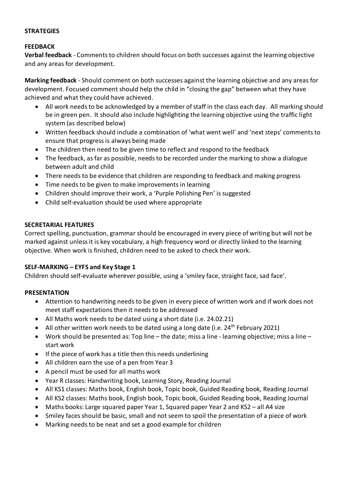# **STRATEGIES**

#### **FEEDBACK**

**Verbal feedback** - Comments to children should focus on both successes against the learning objective and any areas for development.

**Marking feedback** - Should comment on both successes against the learning objective and any areas for development. Focused comment should help the child in "closing the gap" between what they have achieved and what they could have achieved.

- All work needs to be acknowledged by a member of staff in the class each day. All marking should be in green pen. It should also include highlighting the learning objective using the traffic light system (as described below)
- Written feedback should include a combination of 'what went well' and 'next steps' comments to ensure that progress is always being made
- The children then need to be given time to reflect and respond to the feedback
- The feedback, as far as possible, needs to be recorded under the marking to show a dialogue between adult and child
- There needs to be evidence that children are responding to feedback and making progress
- Time needs to be given to make improvements in learning
- Children should improve their work, a 'Purple Polishing Pen' is suggested
- Child self-evaluation should be used where appropriate

#### **SECRETARIAL FEATURES**

Correct spelling, punctuation, grammar should be encouraged in every piece of writing but will not be marked against unless it is key vocabulary, a high frequency word or directly linked to the learning objective. When work is finished, children need to be asked to check their work.

# **SELF-MARKING – EYFS and Key Stage 1**

Children should self-evaluate wherever possible, using a 'smiley face, straight face, sad face'.

#### **PRESENTATION**

- Attention to handwriting needs to be given in every piece of written work and if work does not meet staff expectations then it needs to be addressed
- All Maths work needs to be dated using a short date (i.e. 24.02.21)
- All other written work needs to be dated using a long date (i.e. 24<sup>th</sup> February 2021)
- Work should be presented as: Top line the date; miss a line learning objective; miss a line start work
- If the piece of work has a title then this needs underlining
- All children earn the use of a pen from Year 3
- A pencil must be used for all maths work
- Year R classes: Handwriting book, Learning Story, Reading Journal
- All KS1 classes: Maths book, English book, Topic book, Guided Reading book, Reading Journal
- All KS2 classes: Maths book, English book, Topic book, Guided Reading book, Reading Journal
- Maths books: Large squared paper Year 1, Squared paper Year 2 and KS2 all A4 size
- Smiley faces should be basic, small and not seem to spoil the presentation of a piece of work
- Marking needs to be neat and set a good example for children